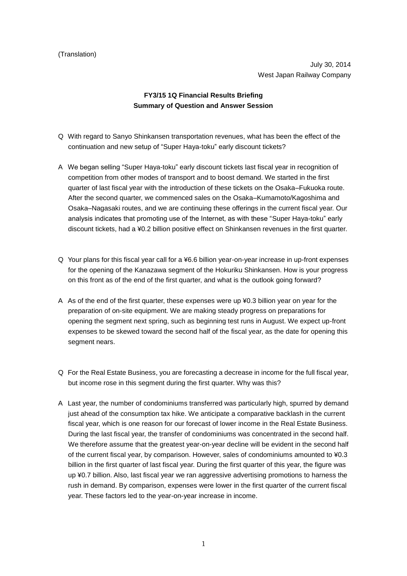## (Translation)

July 30, 2014 West Japan Railway Company

## **FY3/15 1Q Financial Results Briefing Summary of Question and Answer Session**

- Q With regard to Sanyo Shinkansen transportation revenues, what has been the effect of the continuation and new setup of "Super Haya-toku" early discount tickets?
- A We began selling "Super Haya-toku" early discount tickets last fiscal year in recognition of competition from other modes of transport and to boost demand. We started in the first quarter of last fiscal year with the introduction of these tickets on the Osaka–Fukuoka route. After the second quarter, we commenced sales on the Osaka–Kumamoto/Kagoshima and Osaka–Nagasaki routes, and we are continuing these offerings in the current fiscal year. Our analysis indicates that promoting use of the Internet, as with these "Super Haya-toku" early discount tickets, had a ¥0.2 billion positive effect on Shinkansen revenues in the first quarter.
- Q Your plans for this fiscal year call for a ¥6.6 billion year-on-year increase in up-front expenses for the opening of the Kanazawa segment of the Hokuriku Shinkansen. How is your progress on this front as of the end of the first quarter, and what is the outlook going forward?
- A As of the end of the first quarter, these expenses were up ¥0.3 billion year on year for the preparation of on-site equipment. We are making steady progress on preparations for opening the segment next spring, such as beginning test runs in August. We expect up-front expenses to be skewed toward the second half of the fiscal year, as the date for opening this segment nears.
- Q For the Real Estate Business, you are forecasting a decrease in income for the full fiscal year, but income rose in this segment during the first quarter. Why was this?
- A Last year, the number of condominiums transferred was particularly high, spurred by demand just ahead of the consumption tax hike. We anticipate a comparative backlash in the current fiscal year, which is one reason for our forecast of lower income in the Real Estate Business. During the last fiscal year, the transfer of condominiums was concentrated in the second half. We therefore assume that the greatest year-on-year decline will be evident in the second half of the current fiscal year, by comparison. However, sales of condominiums amounted to ¥0.3 billion in the first quarter of last fiscal year. During the first quarter of this year, the figure was up ¥0.7 billion. Also, last fiscal year we ran aggressive advertising promotions to harness the rush in demand. By comparison, expenses were lower in the first quarter of the current fiscal year. These factors led to the year-on-year increase in income.